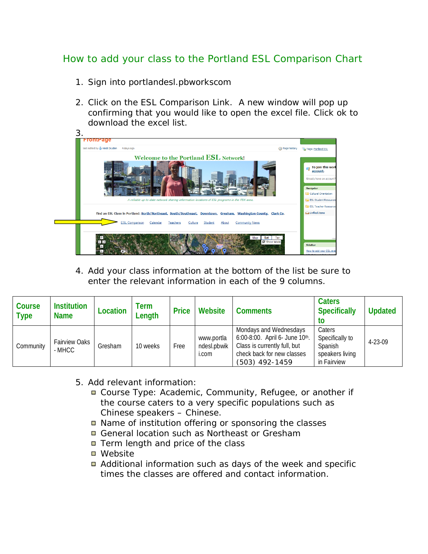## How to add your class to the Portland ESL Comparison Chart

- 1. Sign into portlandesl.pbworkscom
- 2. Click on the ESL Comparison Link. A new window will pop up confirming that you would like to open the excel file. Click ok to download the excel list.

| last edited by & Heidi Dryden<br>4 days ago                                                                                                                                                                               | <b>Rage history</b> | Tags: Portland ESL                                                                                    |
|---------------------------------------------------------------------------------------------------------------------------------------------------------------------------------------------------------------------------|---------------------|-------------------------------------------------------------------------------------------------------|
| Welcome to the Portland ESL Network!                                                                                                                                                                                      |                     | To join this work<br>a T<br>account.<br>Already have an account?<br>Navigator<br>Cultural Orientation |
| A reliable up-to-date network sharing information locations of ESL programs in the PDX area.                                                                                                                              |                     | <b>ESL Student Resources</b>                                                                          |
| Find an ESL Class in Portland: North/Northeast, South/Southeast, Downtown, Gresham, Washington County, Clark Co.<br><b>ESL Comparison</b><br><b>Community News</b><br>Calendar<br>Teachers<br>About<br>Culture<br>Student |                     | <b>Fill ESL Teacher Resources</b><br><b>A</b> Unfiled Items                                           |
| Sat<br>Map<br>$\nabla$ Show labels<br>∈l→<br>₩                                                                                                                                                                            | Ter                 | SideBar<br>How to add your ESL eve                                                                    |

4. Add your class information at the bottom of the list be sure to enter the relevant information in each of the 9 columns.

| Course<br>Type | <b>Institution</b><br><b>Name</b> | Location | Term<br>Length | <b>Price</b> | Website                            | <b>Comments</b>                                                                                                                            | <b>Caters</b><br><b>Specifically</b><br>τo                             | <b>Updated</b> |
|----------------|-----------------------------------|----------|----------------|--------------|------------------------------------|--------------------------------------------------------------------------------------------------------------------------------------------|------------------------------------------------------------------------|----------------|
| Community      | <b>Fairview Oaks</b><br>- MHCC    | Gresham  | 10 weeks       | Free         | www.portla<br>ndesl.pbwik<br>i.com | Mondays and Wednesdays<br>6:00-8:00. April 6- June 10th.<br>Class is currently full, but<br>check back for new classes<br>$(503)$ 492-1459 | Caters<br>Specifically to<br>Spanish<br>speakers living<br>in Fairview | 4-23-09        |

- 5. Add relevant information:
	- Course Type: Academic, Community, Refugee, or another if the course caters to a very specific populations such as *Chinese speakers – Chinese.*
	- Name of institution offering or sponsoring the classes
	- General location such as Northeast or Gresham
	- Term length and price of the class
	- Website
	- Additional information such as days of the week and specific times the classes are offered and contact information.